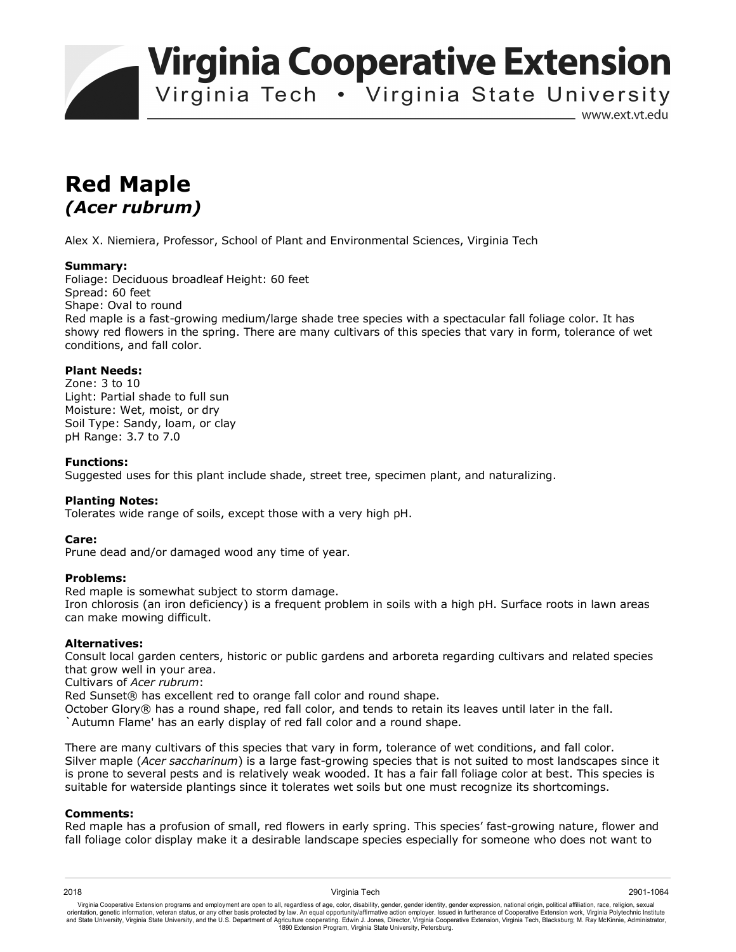**Virginia Cooperative Extension** 

Virginia Tech . Virginia State University

www.ext.vt.edu

# **Red Maple**  *(Acer rubrum)*

Alex X. Niemiera, Professor, School of Plant and Environmental Sciences, Virginia Tech

## **Summary:**

Foliage: Deciduous broadleaf Height: 60 feet Spread: 60 feet Shape: Oval to round Red maple is a fast-growing medium/large shade tree species with a spectacular fall foliage color. It has showy red flowers in the spring. There are many cultivars of this species that vary in form, tolerance of wet conditions, and fall color.

## **Plant Needs:**

Zone: 3 to 10 Light: Partial shade to full sun Moisture: Wet, moist, or dry Soil Type: Sandy, loam, or clay pH Range: 3.7 to 7.0

## **Functions:**

Suggested uses for this plant include shade, street tree, specimen plant, and naturalizing.

## **Planting Notes:**

Tolerates wide range of soils, except those with a very high pH.

#### **Care:**

Prune dead and/or damaged wood any time of year.

## **Problems:**

Red maple is somewhat subject to storm damage.

Iron chlorosis (an iron deficiency) is a frequent problem in soils with a high pH. Surface roots in lawn areas can make mowing difficult.

#### **Alternatives:**

Consult local garden centers, historic or public gardens and arboreta regarding cultivars and related species that grow well in your area.

Cultivars of *Acer rubrum*:

Red Sunset® has excellent red to orange fall color and round shape.

October Glory® has a round shape, red fall color, and tends to retain its leaves until later in the fall.

`Autumn Flame' has an early display of red fall color and a round shape.

There are many cultivars of this species that vary in form, tolerance of wet conditions, and fall color. Silver maple (*Acer saccharinum*) is a large fast-growing species that is not suited to most landscapes since it is prone to several pests and is relatively weak wooded. It has a fair fall foliage color at best. This species is suitable for waterside plantings since it tolerates wet soils but one must recognize its shortcomings.

#### **Comments:**

Red maple has a profusion of small, red flowers in early spring. This species' fast-growing nature, flower and fall foliage color display make it a desirable landscape species especially for someone who does not want to